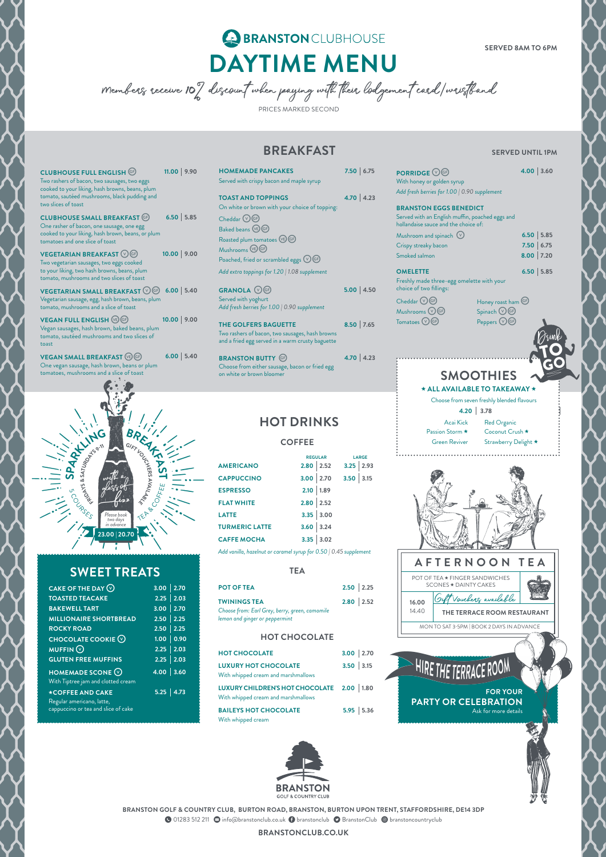

# BRANSTONCLUBHOUSE **DAYTIME MENU**

**SERVED 8AM TO 6PM**

Members receive 10% discount when paying with their lodgement card/wristband PRICES MARKED SECOND

**BREAKFAST** SERVED UNTIL 1PM

 $VEGETARIAN SMALL BREAKFAST  $\circled{v}$  6.00$ Vegetarian sausage, egg, hash brown, beans, plum tomato, mushrooms and a slice of toast

**VEGAN FULL ENGLISH**  $\circledcirc$  **<b>6P. 10.00 10.00** Vegan sausages, hash brown, baked beans, plum tomato, sautéed mushrooms and two slices of toast

| <b>CLUBHOUSE FULL ENGLISH GP</b><br>Two rashers of bacon, two sausages, two eggs<br>cooked to your liking, hash browns, beans, plum<br>tomato, sautéed mushrooms, black pudding and<br>two slices of toast | $11.00$   9.90 |
|------------------------------------------------------------------------------------------------------------------------------------------------------------------------------------------------------------|----------------|
| <b>CLUBHOUSE SMALL BREAKFAST GF</b><br>One rasher of bacon, one sausage, one egg<br>cooked to your liking, hash brown, beans, or plum<br>tomatoes and one slice of toast                                   | $6.50$ 5.85    |
| <b>VEGETARIAN BREAKFAST <math>\circledcirc</math> GP</b><br>Two vegetarian sausages, two eggs cooked<br>to your liking, two hash browns, beans, plum                                                       | 10.00   9.00   |

**VEGAN SMALL BREAKFAST C 6.00 5.40** One vegan sausage, hash brown, beans or plum tomatoes, mushrooms and a slice of toast

tomato, mushrooms and two slices of toast

two

tom

**BRANSTON BUTTY G** 4.70 **4.23** Choose from either sausage, bacon or fried egg on white or brown bloomer

| 9.90 | <b>HOMEMADE PANCAKES</b>                        | 7.50   6.75 |
|------|-------------------------------------------------|-------------|
|      | Served with crispy bacon and maple syrup        |             |
|      | <b>TOAST AND TOPPINGS</b>                       | $4.70$ 4.23 |
|      | On white or brown with your choice of topping:  |             |
| 5.85 | Cheddar $\bigcirc$ GF                           |             |
|      | Baked beans (BGF)                               |             |
|      | Roasted plum tomatoes (VE) GF                   |             |
| 9.00 | Mushrooms <b>CB</b> GP                          |             |
|      | Poached, fried or scrambled eggs $\bigcirc$ GF  |             |
|      | Add extra toppings for 1.20   1.08 supplement   |             |
| 5.40 | GRANOLA <b>V</b> G                              | 5.00   4.50 |
|      | Served with yoghurt                             |             |
|      | Add fresh berries for 1.00   0.90 supplement    |             |
| 9.00 | <b>THE GOLFERS BAGUETTE</b>                     | $8.50$ 7.65 |
|      | Two rashers of bacon, two sausages, hash browns |             |
|      |                                                 |             |

and a fried egg served in a warm crusty baguette

# **HOT DRINKS**

**COFFEE**

|                       | <b>REGULAR</b> |             |             | <b>LARGE</b> |
|-----------------------|----------------|-------------|-------------|--------------|
| <b>AMERICANO</b>      |                | $2.80$ 2.52 | $3.25$ 2.93 |              |
| <b>CAPPUCCINO</b>     | 3.00   2.70    |             | 3.50   3.15 |              |
| <b>ESPRESSO</b>       | $2.10$ 1.89    |             |             |              |
| <b>FLAT WHITE</b>     | $2.80$ 2.52    |             |             |              |
| <b>LATTE</b>          |                | 3.35   3.00 |             |              |
| <b>TURMERIC LATTE</b> | 3.60   3.24    |             |             |              |
| <b>CAFFE MOCHA</b>    |                | 3.35   3.02 |             |              |
|                       |                |             |             |              |

*Add vanilla, hazelnut or caramel syrup for 0.50 | 0.45 supplement*

### **TEA**

| <b>POT OF TEA</b>                              | $2.50$ 2.25 |
|------------------------------------------------|-------------|
| <b>TWININGS TEA</b>                            | $2.80$ 2.52 |
| Choose from: Earl Grey, berry, green, camomile |             |
| lemon and ginger or peppermint                 |             |

## **HOT CHOCOLATE**

| <b>HOT CHOCOLATE</b>                                                               | $3.00$ 2.70 |             |
|------------------------------------------------------------------------------------|-------------|-------------|
| <b>LUXURY HOT CHOCOLATE</b><br>With whipped cream and marshmallows                 | $3.50$ 3.15 |             |
| LUXURY CHILDREN'S HOT CHOCOLATE 2.00   1.80<br>With whipped cream and marshmallows |             |             |
| <b>BAILEYS HOT CHOCOLATE</b><br>With whipped cream                                 |             | $5.95$ 5.36 |



## **SWEET TREATS**

| CAKE OF THE DAY $\odot$                                                              | $3.00$ 2.70   |
|--------------------------------------------------------------------------------------|---------------|
| <b>TOASTED TEACAKE</b>                                                               | $2.25$ 2.03   |
| <b>BAKEWELL TART</b>                                                                 | $3.00$ 2.70   |
| <b>MILLIONAIRE SHORTBREAD</b>                                                        | $2.50$ 2.25   |
| <b>ROCKY ROAD</b>                                                                    | $2.50$ 2.25   |
| <b>CHOCOLATE COOKIE <math>\heartsuit</math></b>                                      | 1.00   0.90   |
| <b>MUFFIN</b>                                                                        | $2.25$ 2.03   |
| <b>GLUTEN FREE MUFFINS</b>                                                           | $2.25$ 2.03   |
| <b>HOMEMADE SCONE <math>\heartsuit</math></b><br>With Tiptree jam and clotted cream  | $4.00$ 3.60   |
| *COFFEE AND CAKE<br>Regular americano, latte,<br>cappuccino or tea and slice of cake | $5.25$   4.73 |

| <b>PORRIDGE OG</b><br>With honey or golden syrup<br>Add fresh berries for 1.00   0.90 supplement                         |                                                 | $4.00$   3.60 |  |
|--------------------------------------------------------------------------------------------------------------------------|-------------------------------------------------|---------------|--|
| <b>BRANSTON EGGS BENEDICT</b><br>Served with an English muffin, poached eggs and<br>hollandaise sauce and the choice of: |                                                 |               |  |
| Mushroom and spinach $\heartsuit$                                                                                        |                                                 | $6.50$ 5.85   |  |
| Crispy streaky bacon                                                                                                     |                                                 | 7.50   6.75   |  |
| Smoked salmon                                                                                                            |                                                 | $8.00$ 7.20   |  |
| <b>OMELETTE</b><br>Freshly made three-egg omelette with your<br>choice of two fillings:                                  |                                                 | $6.50$ 5.85   |  |
| $Cheddar$ $\circledcirc$ GF<br>Mushrooms $\circledcirc$<br>(GF)                                                          | Honey roast ham GP<br>$Spinach$ $\mathbb{O}$ GP |               |  |



# **SMOOTHIES**

\*\* **ALL AVAILABLE TO TAKEAWAY** \*\* Choose from seven freshly blended flavours

**4.20 3.78**

 $Tomatoes \bigcirc \bigcirc \mathbb{G}$  Peppers  $\bigcirc \bigcirc \mathbb{G}$ 

Acai Kick Red Organic Passion Storm \* Coconut Crush \* Green Reviver Strawberry Delight \*

**FOR YOUR PARTY OR CELEBRATION**

HIRE THE TERRACE ROOM

Ask for more details

#### **BRANSTON GOLF & COUNTRY CLUB, BURTON ROAD, BRANSTON, BURTON UPON TRENT, STAFFORDSHIRE, DE14 3DP**

**O** 01283 512 211 **O** info@branstonclub.co.uk **O** branstonclub **O** BranstonClub © branstoncountryclub

**BRANSTONCLUB.CO.UK**